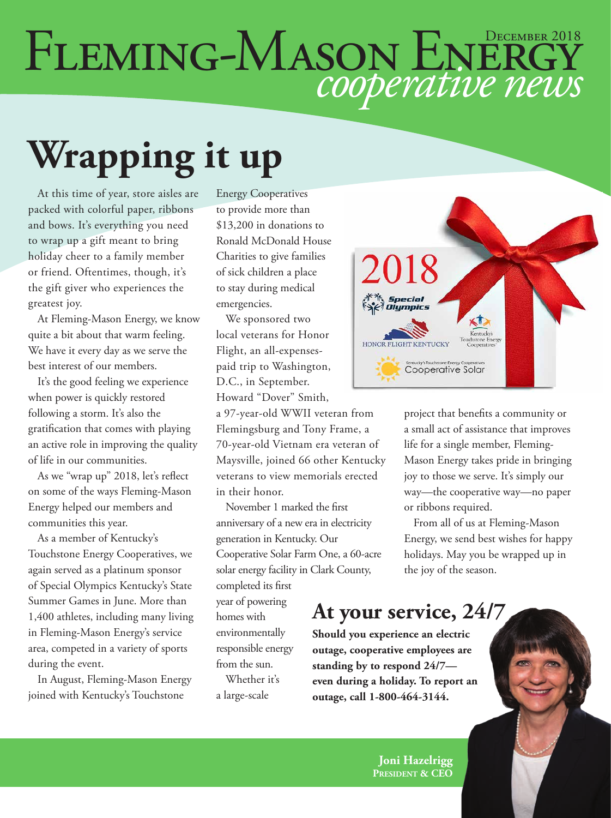# FLEMING-MASON ENERGY

# **Wrapping it up**

At this time of year, store aisles are packed with colorful paper, ribbons and bows. It's everything you need to wrap up a gift meant to bring holiday cheer to a family member or friend. Oftentimes, though, it's the gift giver who experiences the greatest joy.

At Fleming-Mason Energy, we know quite a bit about that warm feeling. We have it every day as we serve the best interest of our members.

It's the good feeling we experience when power is quickly restored following a storm. It's also the gratification that comes with playing an active role in improving the quality of life in our communities.

As we "wrap up" 2018, let's reflect on some of the ways Fleming-Mason Energy helped our members and communities this year.

As a member of Kentucky's Touchstone Energy Cooperatives, we again served as a platinum sponsor of Special Olympics Kentucky's State Summer Games in June. More than 1,400 athletes, including many living in Fleming-Mason Energy's service area, competed in a variety of sports during the event.

In August, Fleming-Mason Energy joined with Kentucky's Touchstone

Energy Cooperatives to provide more than \$13,200 in donations to Ronald McDonald House Charities to give families of sick children a place to stay during medical emergencies.

We sponsored two local veterans for Honor Flight, an all-expensespaid trip to Washington, D.C., in September. Howard "Dover" Smith,

a 97-year-old WWII veteran from Flemingsburg and Tony Frame, a 70-year-old Vietnam era veteran of Maysville, joined 66 other Kentucky veterans to view memorials erected in their honor.

November 1 marked the first anniversary of a new era in electricity generation in Kentucky. Our Cooperative Solar Farm One, a 60-acre solar energy facility in Clark County,

completed its first year of powering homes with environmentally responsible energy from the sun.

Whether it's a large-scale



project that benefits a community or a small act of assistance that improves life for a single member, Fleming-Mason Energy takes pride in bringing joy to those we serve. It's simply our way—the cooperative way—no paper or ribbons required.

From all of us at Fleming-Mason Energy, we send best wishes for happy holidays. May you be wrapped up in the joy of the season.

#### **At your service, 24/7**

**Should you experience an electric outage, cooperative employees are standing by to respond 24/7 even during a holiday. To report an outage, call 1-800-464-3144.**

> **Joni Hazelrigg President & CEO**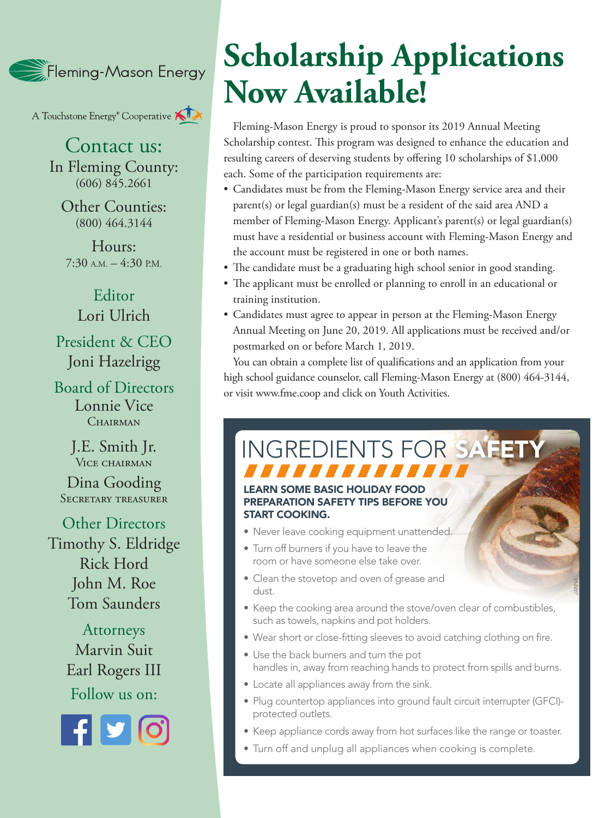Fleming-Mason Energy

A Touchstone Energy<sup>®</sup> Cooperative **KIX** 

Contact us: In Fleming County:  $(606)$  845.2661

Other Counties: (800) 464.3144

Hours:  $7:30$  A.M.  $-4:30$  P.M.

Editor Lori Ulrich President & CEO Joni Hazelrigg

Board of Directors Lonnie Vice CHAIRMAN

> J.E. Smith Jr. VICE CHAIRMAN

Dina Gooding SECRETARY TREASURER

Other Directors Timothy S. Eldridge Rick Hord John M. Roe Tom Saunders

> Attorneys Marvin Suit Earl Rogers III Follow us on:



### **Scholarship Applications Now Available!**

Fleming-Mason Energy is proud to sponsor its 2019 Annual Meeting Scholarship contest. This program was designed to enhance the education and resulting careers of deserving students by offering 10 scholarships of \$1,000 each. Some of the participation requirements are:

- Candidates must be from the Fleming-Mason Energy service area and their parent(s) or legal guardian(s) must be a resident of the said area AND a member of Fleming-Mason Energy. Applicant's parent(s) or legal guardian(s) must have a residential or business account with Fleming-Mason Energy and the account must be registered in one or both names.
- The candidate must be a graduating high school senior in good standing.
- The applicant must be enrolled or planning to enroll in an educational or training institution.
- Candidates must agree to appear in person at the Fleming-Mason Energy Annual Meeting on June 20, 2019. All applications must be received and/or postmarked on or before March 1, 2019.

You can obtain a complete list of qualifications and an application from your high school guidance counselor, call Fleming-Mason Energy at (800) 464-3144, or visit www.fme.coop and click on Youth Activities.

## INGREDIENTS FOR SAFET

#### RN SOME BASIC HOLIDAY FOOD PREPARATION SAFETY TIPS BEFORE YOU START COOKING.

- Never leave cooking equipment unattended.
- Turn off burners if you have to leave the room or have someone else take over.
- Clean the stovetop and oven of grease and dust.
- Keep the cooking area around the stove/oven clear of combustibles, such as towels, napkins and pot holders.

JANNA

- Wear short or close-fitting sleeves to avoid catching clothing on fire.
- Use the back burners and turn the pot handles in, away from reaching hands to protect from spills and burns.
- Locate all appliances away from the sink.
- Plug countertop appliances into ground fault circuit interrupter (GFCI) protected outlets.
- Keep appliance cords away from hot surfaces like the range or toaster.
- Turn off and unplug all appliances when cooking is complete.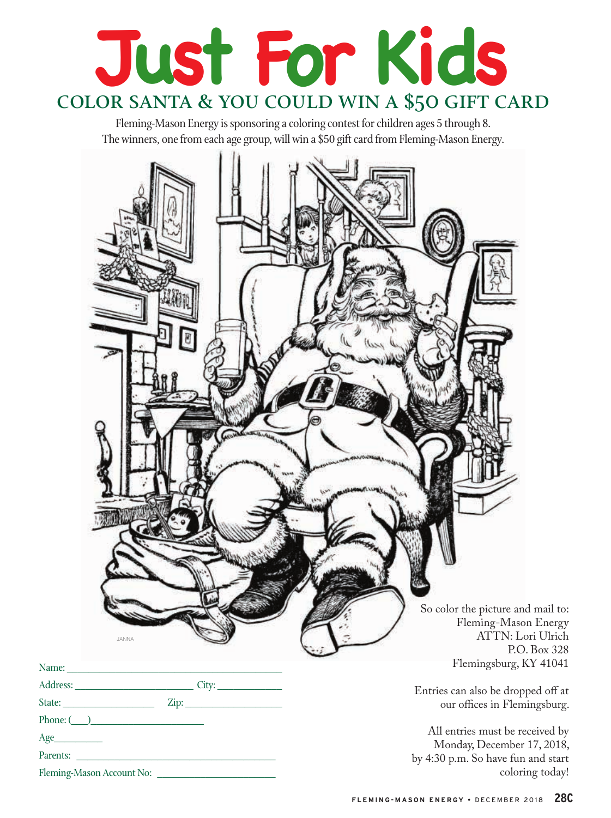

Fleming-Mason Energy is sponsoring a coloring contest for children ages 5 through 8. The winners, one from each age group, will win a \$50 gift card from Fleming-Mason Energy.